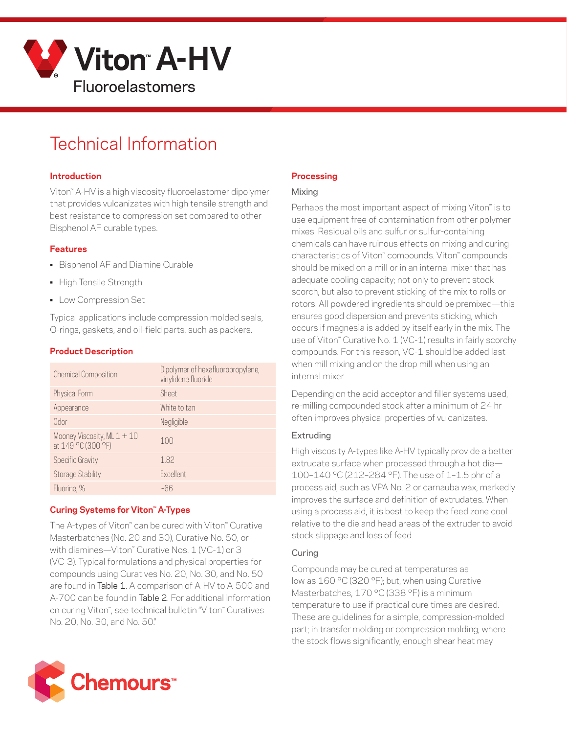

# Technical Information

#### **Introduction**

Viton™ A-HV is a high viscosity fluoroelastomer dipolymer that provides vulcanizates with high tensile strength and best resistance to compression set compared to other Bisphenol AF curable types.

#### **Features**

- Bisphenol AF and Diamine Curable
- High Tensile Strength
- Low Compression Set

Typical applications include compression molded seals, O-rings, gaskets, and oil-field parts, such as packers.

## **Product Description**

| <b>Chemical Composition</b>                         | Dipolymer of hexafluoropropylene,<br>vinylidene fluoride |
|-----------------------------------------------------|----------------------------------------------------------|
| Physical Form                                       | Sheet                                                    |
| Appearance                                          | White to tan                                             |
| Odor                                                | Negligible                                               |
| Mooney Viscosity, ML $1 + 10$<br>at 149 °C (300 °F) | 100                                                      |
| Specific Gravity                                    | 1.82                                                     |
| <b>Storage Stability</b>                            | Excellent                                                |
| Fluorine, %                                         | ~66                                                      |

## **Curing Systems for Viton™ A-Types**

The A-types of Viton™ can be cured with Viton™ Curative Masterbatches (No. 20 and 30), Curative No. 50, or with diamines—Viton™ Curative Nos. 1 (VC-1) or 3 (VC-3). Typical formulations and physical properties for compounds using Curatives No. 20, No. 30, and No. 50 are found in Table 1. A comparison of A-HV to A-500 and A-700 can be found in Table 2. For additional information on curing Viton™, see technical bulletin "Viton™ Curatives No. 20, No. 30, and No. 50."



## **Processing**

#### Mixing

Perhaps the most important aspect of mixing Viton™ is to use equipment free of contamination from other polymer mixes. Residual oils and sulfur or sulfur-containing chemicals can have ruinous effects on mixing and curing characteristics of Viton™ compounds. Viton™ compounds should be mixed on a mill or in an internal mixer that has adequate cooling capacity; not only to prevent stock scorch, but also to prevent sticking of the mix to rolls or rotors. All powdered ingredients should be premixed—this ensures good dispersion and prevents sticking, which occurs if magnesia is added by itself early in the mix. The use of Viton™ Curative No. 1 (VC-1) results in fairly scorchy compounds. For this reason, VC-1 should be added last when mill mixing and on the drop mill when using an internal mixer.

Depending on the acid acceptor and filler systems used, re-milling compounded stock after a minimum of 24 hr often improves physical properties of vulcanizates.

## Extruding

High viscosity A-types like A-HV typically provide a better extrudate surface when processed through a hot die— 100–140 °C (212–284 °F). The use of 1–1.5 phr of a process aid, such as VPA No. 2 or carnauba wax, markedly improves the surface and definition of extrudates. When using a process aid, it is best to keep the feed zone cool relative to the die and head areas of the extruder to avoid stock slippage and loss of feed.

## Curing

Compounds may be cured at temperatures as low as 160 °C (320 °F); but, when using Curative Masterbatches, 170 °C (338 °F) is a minimum temperature to use if practical cure times are desired. These are guidelines for a simple, compression-molded part; in transfer molding or compression molding, where the stock flows significantly, enough shear heat may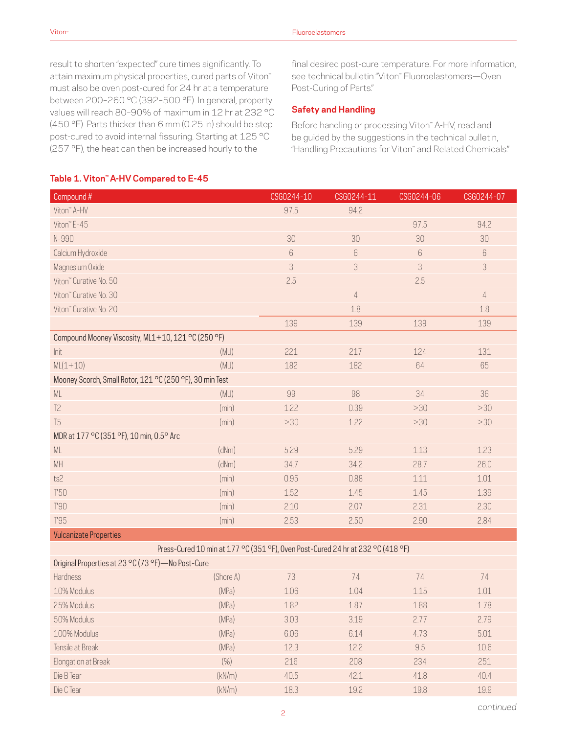result to shorten "expected" cure times significantly. To attain maximum physical properties, cured parts of Viton<sup>™</sup> must also be oven post-cured for 24 hr at a temperature between 200–260 °C (392–500 °F). In general, property values will reach 80–90% of maximum in 12 hr at 232 °C (450 °F). Parts thicker than 6 mm (0.25 in) should be step post-cured to avoid internal fissuring. Starting at 125 °C (257 °F), the heat can then be increased hourly to the

final desired post-cure temperature. For more information, see technical bulletin "Viton™ Fluoroelastomers—Oven Post-Curing of Parts."

#### **Safety and Handling**

Before handling or processing Viton™ A-HV, read and be guided by the suggestions in the technical bulletin, "Handling Precautions for Viton™ and Related Chemicals."

#### **Table 1. Viton™ A-HV Compared to E-45**

| Compound #                                                                      |       | CSG0244-10 | CSG0244-11 | CSG0244-06 | CSG0244-07     |
|---------------------------------------------------------------------------------|-------|------------|------------|------------|----------------|
| Viton" A-HV                                                                     |       | 97.5       | 94.2       |            |                |
| Viton" E-45                                                                     |       |            |            | 97.5       | 94.2           |
| N-990                                                                           |       | 30         | 30         | 30         | 30             |
| Calcium Hydroxide                                                               |       | 6          | 6          | 6          | 6              |
| Magnesium Oxide                                                                 |       | 3          | 3          | 3          | 3              |
| Viton" Curative No. 50                                                          |       | 2.5        |            | 2.5        |                |
| Viton" Curative No. 30                                                          |       |            | $\sqrt{4}$ |            | $\overline{4}$ |
| Viton" Curative No. 20                                                          |       |            | 1.8        |            | 1.8            |
|                                                                                 |       | 139        | 139        | 139        | 139            |
| Compound Mooney Viscosity, ML1+10, 121 °C (250 °F)                              |       |            |            |            |                |
| Init                                                                            | (MU)  | 221        | 217        | 124        | 131            |
| $ML(1+10)$                                                                      | (MU)  | 182        | 182        | 64         | 65             |
| Mooney Scorch, Small Rotor, 121 °C (250 °F), 30 min Test                        |       |            |            |            |                |
| $\mathsf{ML}$                                                                   | (MU)  | 99         | 98         | 34         | 36             |
| T <sub>2</sub>                                                                  | (min) | 1.22       | 0.39       | >30        | >30            |
| T <sub>5</sub>                                                                  | (min) | >30        | 1.22       | >30        | >30            |
| MDR at 177 °C (351 °F), 10 min, 0.5° Arc                                        |       |            |            |            |                |
| ML                                                                              | (dNm) | 5.29       | 5.29       | 1.13       | 1.23           |
| MH                                                                              | (dNm) | 34.7       | 34.2       | 28.7       | 26.0           |
| ts2                                                                             | (min) | 0.95       | 0.88       | 1.11       | 1.01           |
| T50                                                                             | (min) | 1.52       | 1.45       | 1.45       | 1.39           |
| T'90                                                                            | (min) | 2.10       | 2.07       | 2.31       | 2.30           |
| T'95                                                                            | (min) | 2.53       | 2.50       | 2.90       | 2.84           |
| <b>Vulcanizate Properties</b>                                                   |       |            |            |            |                |
| Press-Cured 10 min at 177 °C (351 °F), Oven Post-Cured 24 hr at 232 °C (418 °F) |       |            |            |            |                |
| Original Properties at 23 °C (73 °F) - No Post-Cure                             |       |            |            |            |                |

| Uniginal Properties at $\mathcal{L}5$ $\cup$ (1.5 $\top$ ) The Post-Cure |           |      |      |      |      |
|--------------------------------------------------------------------------|-----------|------|------|------|------|
| <b>Hardness</b>                                                          | (Shore A) | 73   | 74   | 74   | 74   |
| 10% Modulus                                                              | (MPa)     | 1.06 | 1.04 | 1.15 | 1.01 |
| 25% Modulus                                                              | (MPa)     | 1.82 | 1.87 | 1.88 | 1.78 |
| 50% Modulus                                                              | (MPa)     | 3.03 | 3.19 | 2.77 | 2.79 |
| 100% Modulus                                                             | (MPa)     | 6.06 | 6.14 | 4.73 | 5.01 |
| Tensile at Break                                                         | (MPa)     | 12.3 | 12.2 | 9.5  | 10.6 |
| Elongation at Break                                                      | (% )      | 216  | 208  | 234  | 251  |
| Die B Tear                                                               | (kN/m)    | 40.5 | 42.1 | 41.8 | 40.4 |
| Die C Tear                                                               | (kN/m)    | 18.3 | 19.2 | 19.8 | 19.9 |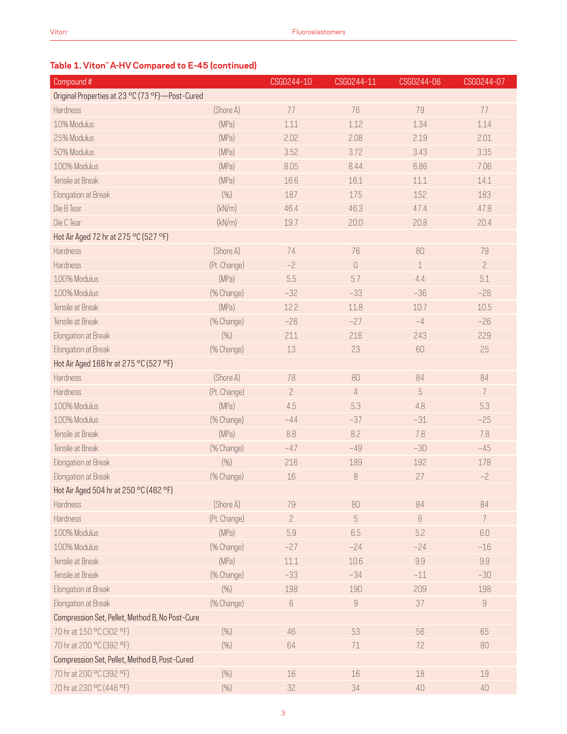# **Table 1. Viton™ A-HV Compared to E-45 (continued)**

| Compound #                                      |              | CSG0244-10     | CSG0244-11                           | CSG0244-06 | CSG0244-07     |
|-------------------------------------------------|--------------|----------------|--------------------------------------|------------|----------------|
| Original Properties at 23 °C (73 °F)-Post-Cured |              |                |                                      |            |                |
| Hardness                                        | (Shore A)    | 77             | 76                                   | 79         | 77             |
| 10% Modulus                                     | (MPa)        | 1.11           | 1.12                                 | 1.34       | 1.14           |
| 25% Modulus                                     | (MPa)        | 2.02           | 2.08                                 | 2.19       | 2.01           |
| 50% Modulus                                     | (MPa)        | 3.52           | 3.72                                 | 3.43       | 3.35           |
| 100% Modulus                                    | (MPa)        | 8.05           | 8.44                                 | 6.86       | 7.06           |
| Tensile at Break                                | (MPa)        | 16.6           | 16.1                                 | 11.1       | 14.1           |
| Elongation at Break                             | (% )         | 187            | 175                                  | 152        | 183            |
| Die B Tear                                      | (kN/m)       | 46.4           | 46.3                                 | 47.4       | 47.8           |
| Die C Tear                                      | (kN/m)       | 19.7           | 20.0                                 | 20.8       | 20.4           |
| Hot Air Aged 72 hr at 275 °C (527 °F)           |              |                |                                      |            |                |
| Hardness                                        | (Shore A)    | 74             | 76                                   | 80         | 79             |
| Hardness                                        | (Pt. Change) | $-2$           | $\begin{matrix} 0 \\ 0 \end{matrix}$ | $1\,$      | $\overline{c}$ |
| 100% Modulus                                    | (MPa)        | 5.5            | 5.7                                  | 4.4        | 5.1            |
| 100% Modulus                                    | (% Change)   | $-32$          | $-33$                                | $-36$      | $-28$          |
| Tensile at Break                                | (MPa)        | 12.2           | 11.8                                 | 10.7       | 10.5           |
| Tensile at Break                                | (% Change)   | $-26$          | $-27$                                | $-4$       | $-26$          |
| Elongation at Break                             | (% )         | 211            | 216                                  | 243        | 229            |
| Elongation at Break                             | (% Change)   | 13             | 23                                   | 60         | 25             |
| Hot Air Aged 168 hr at 275 °C (527 °F)          |              |                |                                      |            |                |
| Hardness                                        | (Shore A)    | 78             | 80                                   | 84         | 84             |
| Hardness                                        | (Pt. Change) | $\overline{c}$ | $\overline{4}$                       | 5          | $\overline{7}$ |
| 100% Modulus                                    | (MPa)        | 4.5            | 5.3                                  | 4.8        | 5.3            |
| 100% Modulus                                    | (% Change)   | $-44$          | $-37$                                | $-31$      | $-25$          |
| Tensile at Break                                | (MPa)        | 8.8            | 8.2                                  | 7.8        | 7.8            |
| Tensile at Break                                | (% Change)   | $-47$          | $-49$                                | $-30$      | $-45$          |
| Elongation at Break                             | (% )         | 216            | 189                                  | 192        | 178            |
| Elongation at Break                             | (% Change)   | 16             | 8                                    | 27         | $-2$           |
| Hot Air Aged 504 hr at 250 °C (482 °F)          |              |                |                                      |            |                |
| Hardness                                        | (Shore A)    | 79             | 80                                   | 84         | 84             |
| Hardness                                        | (Pt. Change) | $\overline{c}$ | 5                                    | $\,6\,$    | $\overline{7}$ |
| 100% Modulus                                    | (MPa)        | 5.9            | 6.5                                  | 5.2        | 6.0            |
| 100% Modulus                                    | (% Change)   | $-27$          | $-24$                                | $-24$      | $-16$          |
| Tensile at Break                                | (MPa)        | 11.1           | 10.6                                 | 9.9        | 9.9            |
| Tensile at Break                                | (% Change)   | $-33$          | $-34$                                | $-11$      | $-30$          |
| Elongation at Break                             | (% )         | 198            | 190                                  | 209        | 198            |
| Elongation at Break                             | (% Change)   | $6\,$          | $\boldsymbol{9}$                     | 37         | $\hbox{9}$     |
| Compression Set, Pellet, Method B, No Post-Cure |              |                |                                      |            |                |
| 70 hr at 150 °C (302 °F)                        | (% )         | 46             | 53                                   | 56         | 65             |
| 70 hr at 200 °C (392 °F)                        | (% )         | 64             | 71                                   | 72         | 80             |
| Compression Set, Pellet, Method B, Post-Cured   |              |                |                                      |            |                |
| 70 hr at 200 °C (392 °F)                        | (% )         | 16             | $16\,$                               | 18         | 19             |
| 70 hr at 230 °C (446 °F)                        | (% )         | 32             | 34                                   | 40         | $40\,$         |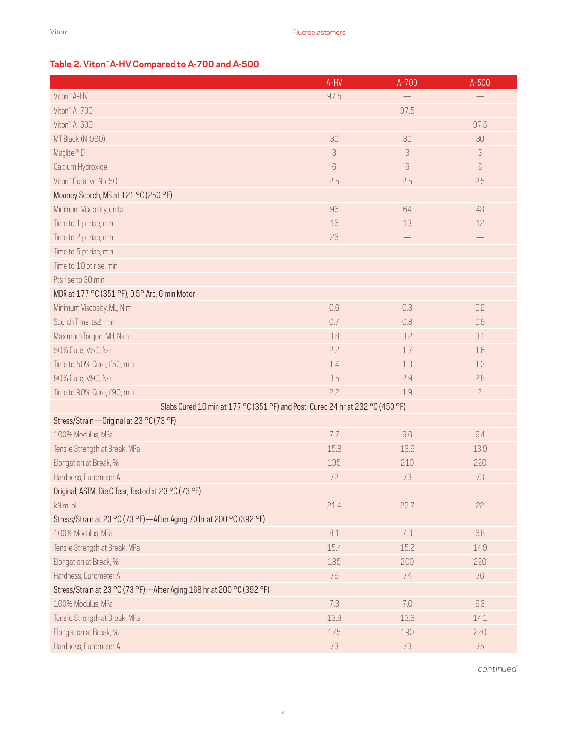# **Table 2. Viton™ A-HV Compared to A-700 and A-500**

|                                                                               | A-HV    | $A - 700$ | $A-500$        |
|-------------------------------------------------------------------------------|---------|-----------|----------------|
| Viton" A-HV                                                                   | 97.5    |           |                |
| Viton" A-700                                                                  |         | 97.5      |                |
| Viton" A-500                                                                  |         |           | 97.5           |
| MT Black (N-990)                                                              | 30      | 30        | 30             |
| Maglite® D                                                                    | 3       | 3         | 3              |
| Calcium Hydroxide                                                             | $6\,$   | $6\,$     | $6\,$          |
| Viton" Curative No. 50                                                        | 2.5     | 2.5       | 2.5            |
| Mooney Scorch, MS at 121 °C (250 °F)                                          |         |           |                |
| Minimum Viscosity, units                                                      | 96      | 64        | 48             |
| Time to 1 pt rise, min                                                        | 16      | 13        | 12             |
| Time to 2 pt rise, min                                                        | 26      |           |                |
| Time to 5 pt rise, min                                                        |         |           |                |
| Time to 10 pt rise, min                                                       |         |           |                |
| Pts rise to 30 min                                                            |         |           |                |
| MDR at 177 °C (351 °F), 0.5° Arc, 6 min Motor                                 |         |           |                |
| Minimum Viscosity, ML, N·m                                                    | 0.6     | 0.3       | 0.2            |
| Scorch Time, ts2, min                                                         | 0.7     | 0.8       | 0.9            |
| Maximum Torque, MH, N·m                                                       | 3.8     | 3.2       | 3.1            |
| 50% Cure, M50, N·m                                                            | 2.2     | 1.7       | 1.6            |
| Time to 50% Cure, t'50, min                                                   | 1.4     | 1.3       | 1.3            |
| 90% Cure, M90, N·m                                                            | 3.5     | 2.9       | 2.8            |
| Time to 90% Cure, t'90, min                                                   | 2.2     | 1.9       | $\overline{c}$ |
| Slabs Cured 10 min at 177 °C (351 °F) and Post-Cured 24 hr at 232 °C (450 °F) |         |           |                |
| Stress/Strain-Original at 23 °C (73 °F)                                       |         |           |                |
| 100% Modulus, MPa                                                             | 7.7     | 6.6       | 6.4            |
| Tensile Strength at Break, MPa                                                | 15.8    | 13.6      | 13.9           |
| Elongation at Break, %                                                        | 195     | 210       | 220            |
| Hardness, Durometer A                                                         | 72      | 73        | 73             |
| Original, ASTM, Die C Tear, Tested at 23 °C (73 °F)                           |         |           |                |
| kN·m, pli                                                                     | 21.4    | 23.7      | 22             |
| Stress/Strain at 23 °C (73 °F)—After Aging 70 hr at 200 °C (392 °F)           |         |           |                |
| 100% Modulus, MPa                                                             | $8.1\,$ | 7.3       | 6.8            |
| Tensile Strength at Break, MPa                                                | 15.4    | 15.2      | 14.9           |
| Elongation at Break, %                                                        | 185     | 200       | 220            |
| Hardness, Durometer A                                                         | 76      | 74        | 76             |
| Stress/Strain at 23 °C (73 °F)-After Aging 168 hr at 200 °C (392 °F)          |         |           |                |
| 100% Modulus, MPa                                                             | 7.3     | 7.0       | 6.3            |
| Tensile Strength at Break, MPa                                                | 13.8    | 13.6      | 14.1           |
| Elongation at Break, %                                                        | 175     | 190       | 220            |
| Hardness, Durometer A                                                         | 73      | 73        | 75             |

*continued*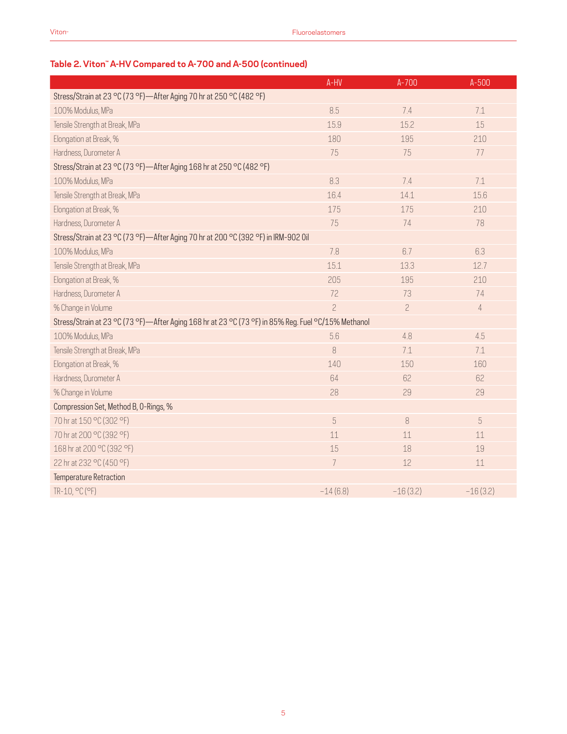# **Table 2. Viton™ A-HV Compared to A-700 and A-500 (continued)**

|                                                                                                     | A-HV           | $A - 700$      | $A-500$        |  |  |  |
|-----------------------------------------------------------------------------------------------------|----------------|----------------|----------------|--|--|--|
| Stress/Strain at 23 °C (73 °F)-After Aging 70 hr at 250 °C (482 °F)                                 |                |                |                |  |  |  |
| 100% Modulus, MPa                                                                                   | 8.5            | 7.4            | 7.1            |  |  |  |
| Tensile Strength at Break, MPa                                                                      | 15.9           | 15.2           | 15             |  |  |  |
| Elongation at Break, %                                                                              | 180            | 195            | 210            |  |  |  |
| Hardness, Durometer A                                                                               | 75             | 75             | 77             |  |  |  |
| Stress/Strain at 23 °C (73 °F)-After Aging 168 hr at 250 °C (482 °F)                                |                |                |                |  |  |  |
| 100% Modulus, MPa                                                                                   | 8.3            | 7.4            | 7.1            |  |  |  |
| Tensile Strength at Break, MPa                                                                      | 16.4           | 14.1           | 15.6           |  |  |  |
| Elongation at Break, %                                                                              | 175            | 175            | 210            |  |  |  |
| Hardness, Durometer A                                                                               | 75             | 74             | 78             |  |  |  |
| Stress/Strain at 23 °C (73 °F)-After Aging 70 hr at 200 °C (392 °F) in IRM-902 0il                  |                |                |                |  |  |  |
| 100% Modulus, MPa                                                                                   | 7.8            | 6.7            | 6.3            |  |  |  |
| Tensile Strength at Break, MPa                                                                      | 15.1           | 13.3           | 12.7           |  |  |  |
| Elongation at Break, %                                                                              | 205            | 195            | 210            |  |  |  |
| Hardness, Durometer A                                                                               | 72             | 73             | 74             |  |  |  |
| % Change in Volume                                                                                  | $\overline{a}$ | $\overline{c}$ | $\overline{4}$ |  |  |  |
| Stress/Strain at 23 °C (73 °F)—After Aging 168 hr at 23 °C (73 °F) in 85% Reg. Fuel °C/15% Methanol |                |                |                |  |  |  |
| 100% Modulus, MPa                                                                                   | 5.6            | 4.8            | 4.5            |  |  |  |
| Tensile Strength at Break, MPa                                                                      | 8              | 7.1            | 7.1            |  |  |  |
| Elongation at Break, %                                                                              | 140            | 150            | 160            |  |  |  |
| Hardness, Durometer A                                                                               | 64             | 62             | 62             |  |  |  |
| % Change in Volume                                                                                  | 28             | 29             | 29             |  |  |  |
| Compression Set, Method B, O-Rings, %                                                               |                |                |                |  |  |  |
| 70 hr at 150 °C (302 °F)                                                                            | 5              | 8              | 5              |  |  |  |
| 70 hr at 200 °C (392 °F)                                                                            | 11             | 11             | 11             |  |  |  |
| 168 hr at 200 °C (392 °F)                                                                           | 15             | 18             | 19             |  |  |  |
| 22 hr at 232 °C (450 °F)                                                                            | $\overline{7}$ | 12             | 11             |  |  |  |
| Temperature Retraction                                                                              |                |                |                |  |  |  |
| TR-10, °C (°F)                                                                                      | $-14(6.8)$     | $-16(3.2)$     | $-16(3.2)$     |  |  |  |